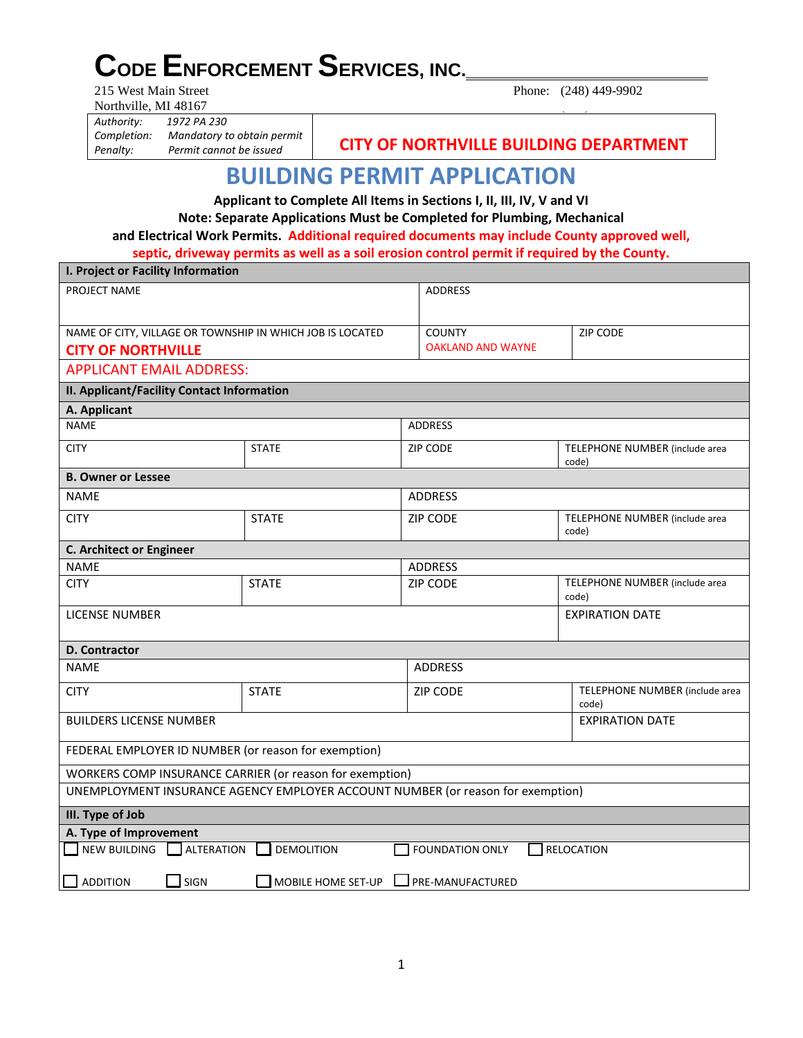# **CODE ENFORCEMENT SERVICES, INC.**<br>215 West Main Street

Northville, MI 48167

**I. Project or Facility Information**

Phone: (248) 449-9902

*Authority: 1972 PA 230 Completion: Mandatory to obtain permit*

*Penalty: Permit cannot be issued* **CITY OF NORTHVILLE BUILDING DEPARTMENT**

## **BUILDING PERMIT APPLICATION**

**Applicant to Complete All Items in Sections I, II, III, IV, V and VI Note: Separate Applications Must be Completed for Plumbing, Mechanical and Electrical Work Permits. Additional required documents may include County approved well,** 

**septic, driveway permits as well as a soil erosion control permit if required by the County.** 

|                                                                                                | i. Project or Facility information |                          |                                         |  |  |
|------------------------------------------------------------------------------------------------|------------------------------------|--------------------------|-----------------------------------------|--|--|
| PROJECT NAME                                                                                   |                                    | <b>ADDRESS</b>           |                                         |  |  |
|                                                                                                |                                    |                          |                                         |  |  |
| NAME OF CITY, VILLAGE OR TOWNSHIP IN WHICH JOB IS LOCATED                                      |                                    | <b>COUNTY</b>            | ZIP CODE                                |  |  |
| <b>CITY OF NORTHVILLE</b>                                                                      |                                    | <b>OAKLAND AND WAYNE</b> |                                         |  |  |
| <b>APPLICANT EMAIL ADDRESS:</b>                                                                |                                    |                          |                                         |  |  |
| II. Applicant/Facility Contact Information                                                     |                                    |                          |                                         |  |  |
| A. Applicant                                                                                   |                                    |                          |                                         |  |  |
| <b>NAME</b>                                                                                    |                                    | <b>ADDRESS</b>           |                                         |  |  |
| <b>CITY</b>                                                                                    | <b>STATE</b>                       | ZIP CODE                 | TELEPHONE NUMBER (include area<br>code) |  |  |
| <b>B. Owner or Lessee</b>                                                                      |                                    |                          |                                         |  |  |
| <b>NAME</b>                                                                                    |                                    | <b>ADDRESS</b>           |                                         |  |  |
| <b>CITY</b>                                                                                    | <b>STATE</b>                       | <b>ZIP CODE</b>          | TELEPHONE NUMBER (include area<br>code) |  |  |
| <b>C. Architect or Engineer</b>                                                                |                                    |                          |                                         |  |  |
| <b>NAME</b>                                                                                    |                                    | <b>ADDRESS</b>           |                                         |  |  |
| <b>CITY</b>                                                                                    | <b>STATE</b>                       | ZIP CODE                 | TELEPHONE NUMBER (include area<br>code) |  |  |
| <b>LICENSE NUMBER</b>                                                                          |                                    |                          | <b>EXPIRATION DATE</b>                  |  |  |
| <b>D. Contractor</b>                                                                           |                                    |                          |                                         |  |  |
| <b>NAME</b>                                                                                    |                                    | <b>ADDRESS</b>           |                                         |  |  |
| <b>CITY</b>                                                                                    | <b>STATE</b>                       | <b>ZIP CODE</b>          | TELEPHONE NUMBER (include area<br>code) |  |  |
| <b>BUILDERS LICENSE NUMBER</b>                                                                 |                                    |                          | <b>EXPIRATION DATE</b>                  |  |  |
| FEDERAL EMPLOYER ID NUMBER (or reason for exemption)                                           |                                    |                          |                                         |  |  |
| WORKERS COMP INSURANCE CARRIER (or reason for exemption)                                       |                                    |                          |                                         |  |  |
| UNEMPLOYMENT INSURANCE AGENCY EMPLOYER ACCOUNT NUMBER (or reason for exemption)                |                                    |                          |                                         |  |  |
| III. Type of Job                                                                               |                                    |                          |                                         |  |  |
| A. Type of Improvement                                                                         |                                    |                          |                                         |  |  |
| NEW BUILDING<br>ALTERATION<br><b>DEMOLITION</b><br><b>FOUNDATION ONLY</b><br><b>RELOCATION</b> |                                    |                          |                                         |  |  |
| $\Box$ addition<br>SIGN<br>MOBILE HOME SET-UP<br>PRE-MANUFACTURED                              |                                    |                          |                                         |  |  |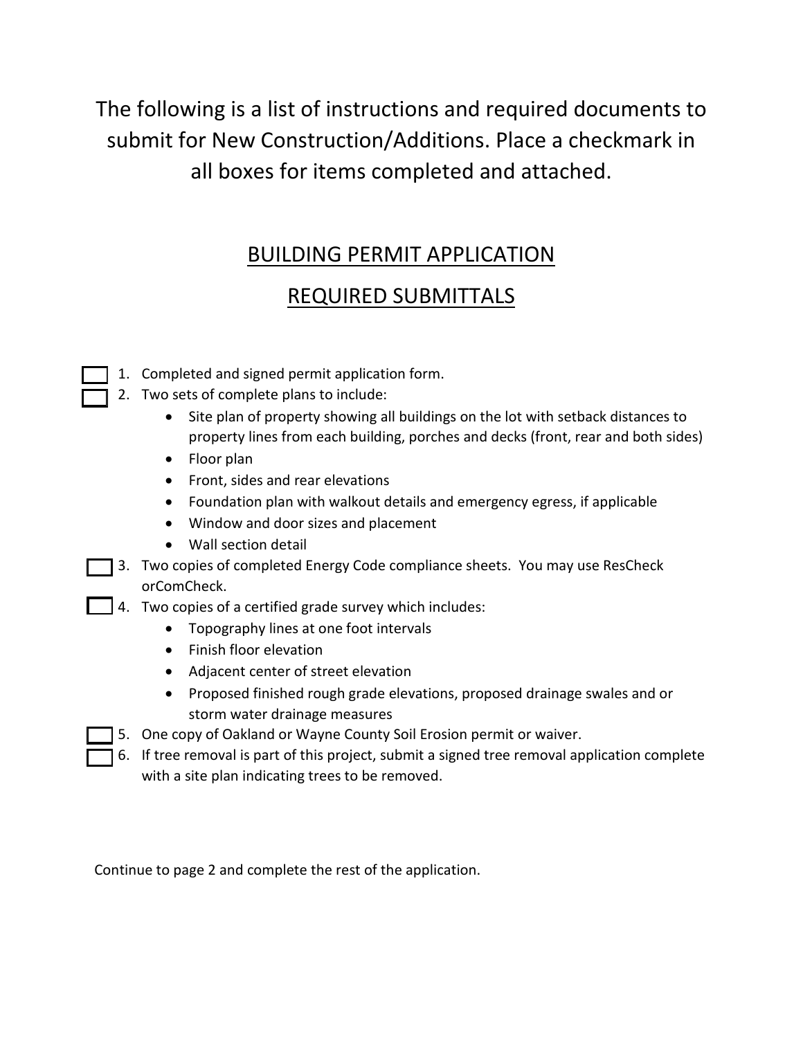The following is a list of instructions and required documents to submit for New Construction/Additions. Place a checkmark in all boxes for items completed and attached.

### BUILDING PERMIT APPLICATION

### REQUIRED SUBMITTALS

- 1. Completed and signed permit application form.
- 1 2. Two sets of complete plans to include:
	- Site plan of property showing all buildings on the lot with setback distances to property lines from each building, porches and decks (front, rear and both sides)
	- Floor plan
	- Front, sides and rear elevations
	- Foundation plan with walkout details and emergency egress, if applicable
	- Window and door sizes and placement
	- Wall section detail
- 3. Two copies of completed Energy Code compliance sheets. You may use ResCheck orComCheck.
- $\Box$  4. Two copies of a certified grade survey which includes:
	- Topography lines at one foot intervals
	- Finish floor elevation
	- Adjacent center of street elevation
	- Proposed finished rough grade elevations, proposed drainage swales and or storm water drainage measures
	- 5. One copy of Oakland or Wayne County Soil Erosion permit or waiver.
	- **6.** If tree removal is part of this project, submit a signed tree removal application complete with a site plan indicating trees to be removed.

Continue to page 2 and complete the rest of the application.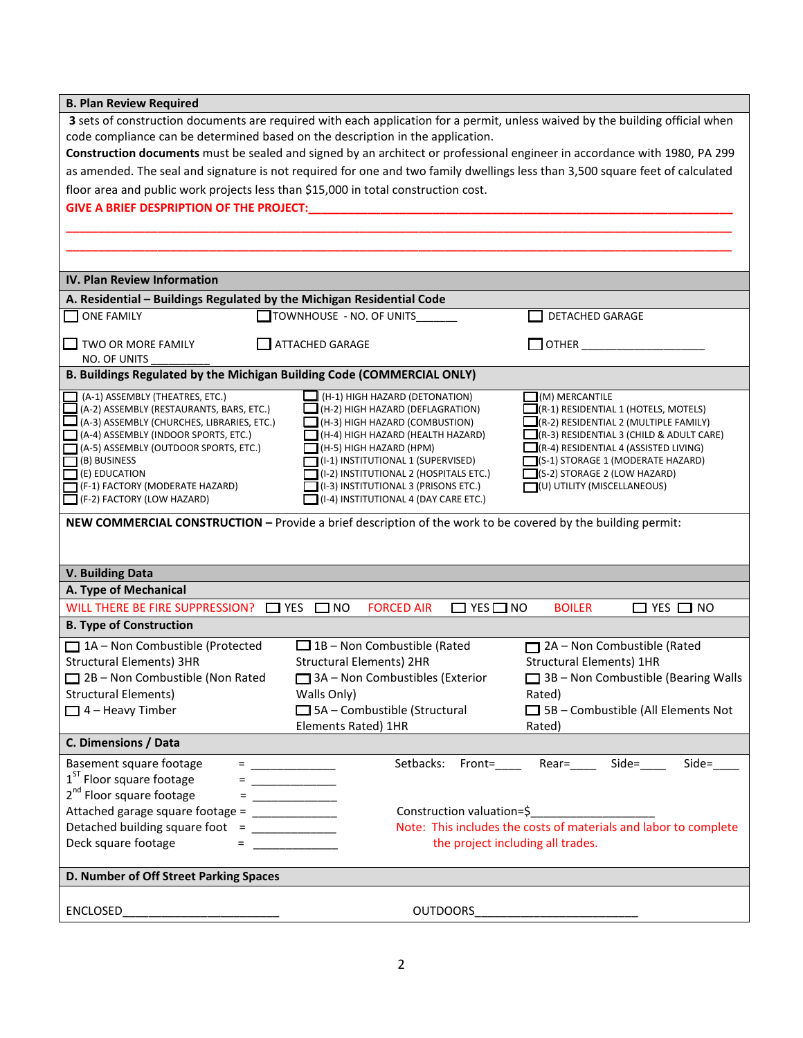| <b>B. Plan Review Required</b>                                                                                     |                                                                                                                               |                                                                          |  |  |
|--------------------------------------------------------------------------------------------------------------------|-------------------------------------------------------------------------------------------------------------------------------|--------------------------------------------------------------------------|--|--|
|                                                                                                                    | 3 sets of construction documents are required with each application for a permit, unless waived by the building official when |                                                                          |  |  |
| code compliance can be determined based on the description in the application.                                     |                                                                                                                               |                                                                          |  |  |
|                                                                                                                    | Construction documents must be sealed and signed by an architect or professional engineer in accordance with 1980, PA 299     |                                                                          |  |  |
|                                                                                                                    | as amended. The seal and signature is not required for one and two family dwellings less than 3,500 square feet of calculated |                                                                          |  |  |
| floor area and public work projects less than \$15,000 in total construction cost.                                 |                                                                                                                               |                                                                          |  |  |
| GIVE A BRIEF DESPRIPTION OF THE PROJECT:                                                                           |                                                                                                                               |                                                                          |  |  |
|                                                                                                                    |                                                                                                                               |                                                                          |  |  |
|                                                                                                                    |                                                                                                                               |                                                                          |  |  |
|                                                                                                                    |                                                                                                                               |                                                                          |  |  |
|                                                                                                                    |                                                                                                                               |                                                                          |  |  |
| IV. Plan Review Information                                                                                        |                                                                                                                               |                                                                          |  |  |
| A. Residential - Buildings Regulated by the Michigan Residential Code                                              |                                                                                                                               |                                                                          |  |  |
| <b>ONE FAMILY</b>                                                                                                  | TOWNHOUSE - NO. OF UNITS                                                                                                      | DETACHED GARAGE                                                          |  |  |
| $\Box$ TWO OR MORE FAMILY                                                                                          | ATTACHED GARAGE                                                                                                               | <b>OTHER CONTROLLER</b>                                                  |  |  |
| NO. OF UNITS                                                                                                       |                                                                                                                               |                                                                          |  |  |
| B. Buildings Regulated by the Michigan Building Code (COMMERCIAL ONLY)                                             |                                                                                                                               |                                                                          |  |  |
| (A-1) ASSEMBLY (THEATRES, ETC.)                                                                                    | (H-1) HIGH HAZARD (DETONATION)                                                                                                | (M) MERCANTILE                                                           |  |  |
| (A-2) ASSEMBLY (RESTAURANTS, BARS, ETC.)                                                                           | $\Box$ (H-2) HIGH HAZARD (DEFLAGRATION)                                                                                       | $\Box$ (R-1) RESIDENTIAL 1 (HOTELS, MOTELS)                              |  |  |
| $\Box$ (A-3) ASSEMBLY (CHURCHES, LIBRARIES, ETC.)                                                                  | $\Box$ (H-3) HIGH HAZARD (COMBUSTION)                                                                                         | $\Box$ (R-2) RESIDENTIAL 2 (MULTIPLE FAMILY)                             |  |  |
| $\Box$ (A-4) ASSEMBLY (INDOOR SPORTS, ETC.)                                                                        | $\Box$ (H-4) HIGH HAZARD (HEALTH HAZARD)                                                                                      | $\Box$ (R-3) RESIDENTIAL 3 (CHILD & ADULT CARE)                          |  |  |
| (A-5) ASSEMBLY (OUTDOOR SPORTS, ETC.)                                                                              | $\Box$ (H-5) HIGH HAZARD (HPM)                                                                                                | $\Box$ (R-4) RESIDENTIAL 4 (ASSISTED LIVING)                             |  |  |
| $\Box$ (B) BUSINESS<br>$\Box$ (E) EDUCATION                                                                        | (I-1) INSTITUTIONAL 1 (SUPERVISED)<br>$\Box$ (I-2) INSTITUTIONAL 2 (HOSPITALS ETC.)                                           | $\Box$ (S-1) STORAGE 1 (MODERATE HAZARD)<br>(S-2) STORAGE 2 (LOW HAZARD) |  |  |
| $\Box$ (F-1) FACTORY (MODERATE HAZARD)                                                                             | $\Box$ (I-3) INSTITUTIONAL 3 (PRISONS ETC.)                                                                                   | $\Box$ (U) UTILITY (MISCELLANEOUS)                                       |  |  |
| $\Box$ (F-2) FACTORY (LOW HAZARD)                                                                                  | $\Box$ (I-4) INSTITUTIONAL 4 (DAY CARE ETC.)                                                                                  |                                                                          |  |  |
|                                                                                                                    | NEW COMMERCIAL CONSTRUCTION - Provide a brief description of the work to be covered by the building permit:                   |                                                                          |  |  |
|                                                                                                                    |                                                                                                                               |                                                                          |  |  |
|                                                                                                                    |                                                                                                                               |                                                                          |  |  |
| <b>V. Building Data</b>                                                                                            |                                                                                                                               |                                                                          |  |  |
| A. Type of Mechanical                                                                                              |                                                                                                                               |                                                                          |  |  |
| WILL THERE BE FIRE SUPPRESSION? THES TIMO                                                                          | <b>FORCED AIR</b><br>$\Box$ YES $\Box$ NO                                                                                     | <b>BOILER</b><br>$\Box$ YES $\Box$ NO                                    |  |  |
| <b>B. Type of Construction</b>                                                                                     |                                                                                                                               |                                                                          |  |  |
| □ 1A - Non Combustible (Protected                                                                                  | $\Box$ 1B – Non Combustible (Rated                                                                                            | 2A - Non Combustible (Rated<br>П                                         |  |  |
| <b>Structural Elements) 3HR</b>                                                                                    | <b>Structural Elements) 2HR</b>                                                                                               | <b>Structural Elements) 1HR</b>                                          |  |  |
| $\Box$ 2B – Non Combustible (Non Rated                                                                             | $\Box$ 3A – Non Combustibles (Exterior                                                                                        | $\Box$ 3B – Non Combustible (Bearing Walls                               |  |  |
| <b>Structural Elements)</b>                                                                                        | Walls Only)                                                                                                                   | Rated)                                                                   |  |  |
| $\Box$ 4 - Heavy Timber                                                                                            | $\Box$ 5A - Combustible (Structural                                                                                           | $\Box$ 5B - Combustible (All Elements Not                                |  |  |
|                                                                                                                    | Elements Rated) 1HR                                                                                                           | Rated)                                                                   |  |  |
| C. Dimensions / Data                                                                                               |                                                                                                                               |                                                                          |  |  |
| Basement square footage                                                                                            | Setbacks:<br>Front=                                                                                                           | Side=<br>Side=<br>Rear=                                                  |  |  |
| 1 <sup>ST</sup> Floor square footage                                                                               |                                                                                                                               |                                                                          |  |  |
| 2 <sup>nd</sup> Floor square footage                                                                               | <u> 1980 - Jan Stein Stein Inge</u>                                                                                           |                                                                          |  |  |
|                                                                                                                    | $\equiv$ . The contract of the contract of $\sim$                                                                             |                                                                          |  |  |
| Attached garage square footage = ______________<br>Construction valuation=\$                                       |                                                                                                                               |                                                                          |  |  |
| Note: This includes the costs of materials and labor to complete<br>Detached building square foot = ______________ |                                                                                                                               |                                                                          |  |  |
| Deck square footage<br>the project including all trades.                                                           |                                                                                                                               |                                                                          |  |  |
| D. Number of Off Street Parking Spaces                                                                             |                                                                                                                               |                                                                          |  |  |
|                                                                                                                    |                                                                                                                               |                                                                          |  |  |
| <b>ENCLOSED</b>                                                                                                    | <b>OUTDOORS</b>                                                                                                               |                                                                          |  |  |
|                                                                                                                    |                                                                                                                               |                                                                          |  |  |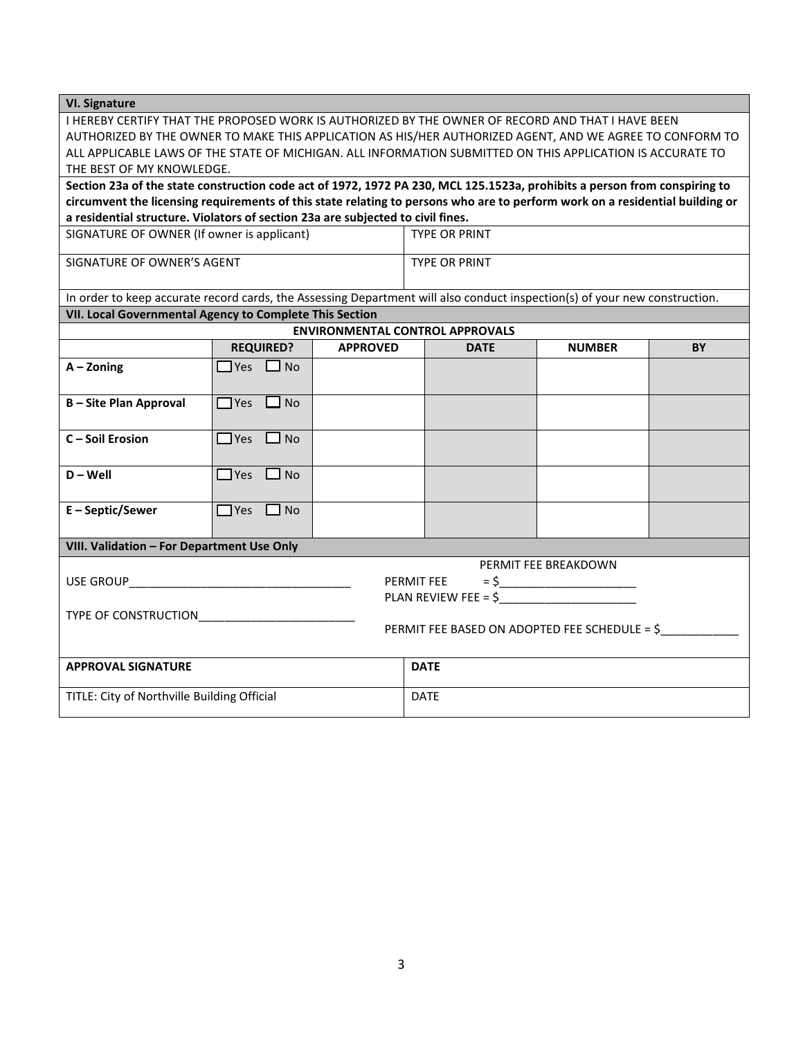| <b>VI. Signature</b>                                                                                                                                                                                                                        |                         |                 |                                        |               |           |
|---------------------------------------------------------------------------------------------------------------------------------------------------------------------------------------------------------------------------------------------|-------------------------|-----------------|----------------------------------------|---------------|-----------|
| I HEREBY CERTIFY THAT THE PROPOSED WORK IS AUTHORIZED BY THE OWNER OF RECORD AND THAT I HAVE BEEN                                                                                                                                           |                         |                 |                                        |               |           |
| AUTHORIZED BY THE OWNER TO MAKE THIS APPLICATION AS HIS/HER AUTHORIZED AGENT, AND WE AGREE TO CONFORM TO                                                                                                                                    |                         |                 |                                        |               |           |
| ALL APPLICABLE LAWS OF THE STATE OF MICHIGAN. ALL INFORMATION SUBMITTED ON THIS APPLICATION IS ACCURATE TO                                                                                                                                  |                         |                 |                                        |               |           |
| THE BEST OF MY KNOWLEDGE.                                                                                                                                                                                                                   |                         |                 |                                        |               |           |
| Section 23a of the state construction code act of 1972, 1972 PA 230, MCL 125.1523a, prohibits a person from conspiring to                                                                                                                   |                         |                 |                                        |               |           |
| circumvent the licensing requirements of this state relating to persons who are to perform work on a residential building or<br>a residential structure. Violators of section 23a are subjected to civil fines.                             |                         |                 |                                        |               |           |
| SIGNATURE OF OWNER (If owner is applicant)                                                                                                                                                                                                  |                         |                 | <b>TYPE OR PRINT</b>                   |               |           |
| SIGNATURE OF OWNER'S AGENT                                                                                                                                                                                                                  |                         |                 | <b>TYPE OR PRINT</b>                   |               |           |
|                                                                                                                                                                                                                                             |                         |                 |                                        |               |           |
| In order to keep accurate record cards, the Assessing Department will also conduct inspection(s) of your new construction.                                                                                                                  |                         |                 |                                        |               |           |
| VII. Local Governmental Agency to Complete This Section                                                                                                                                                                                     |                         |                 |                                        |               |           |
|                                                                                                                                                                                                                                             |                         |                 | <b>ENVIRONMENTAL CONTROL APPROVALS</b> |               |           |
|                                                                                                                                                                                                                                             | <b>REQUIRED?</b>        | <b>APPROVED</b> | <b>DATE</b>                            | <b>NUMBER</b> | <b>BY</b> |
| $A - Z$ oning                                                                                                                                                                                                                               | $\Box$ Yes $\Box$ No    |                 |                                        |               |           |
| <b>B-Site Plan Approval</b>                                                                                                                                                                                                                 | $\Box$ Yes $\Box$ No    |                 |                                        |               |           |
| C-Soil Erosion                                                                                                                                                                                                                              | $\Box$ Yes $\Box$ No    |                 |                                        |               |           |
|                                                                                                                                                                                                                                             |                         |                 |                                        |               |           |
| $D - Well$                                                                                                                                                                                                                                  | $\Box$ Yes<br>$\Box$ No |                 |                                        |               |           |
| E-Septic/Sewer                                                                                                                                                                                                                              | $\Box$ Yes $\Box$ No    |                 |                                        |               |           |
|                                                                                                                                                                                                                                             |                         |                 |                                        |               |           |
| VIII. Validation - For Department Use Only                                                                                                                                                                                                  |                         |                 |                                        |               |           |
| PERMIT FEE BREAKDOWN                                                                                                                                                                                                                        |                         |                 |                                        |               |           |
| PERMIT FEE<br>USE GROUP A SERVICE OF THE STATE OF THE STATE OF THE STATE OF THE STATE OF THE STATE OF THE STATE OF THE STATE OF THE STATE OF THE STATE OF THE STATE OF THE STATE OF THE STATE OF THE STATE OF THE STATE OF THE STATE OF THE |                         |                 |                                        |               |           |
| PLAN REVIEW FEE = $$$                                                                                                                                                                                                                       |                         |                 |                                        |               |           |
| PERMIT FEE BASED ON ADOPTED FEE SCHEDULE = \$                                                                                                                                                                                               |                         |                 |                                        |               |           |
|                                                                                                                                                                                                                                             |                         |                 |                                        |               |           |
| <b>APPROVAL SIGNATURE</b>                                                                                                                                                                                                                   |                         |                 | <b>DATE</b>                            |               |           |
| TITLE: City of Northville Building Official                                                                                                                                                                                                 |                         |                 | <b>DATE</b>                            |               |           |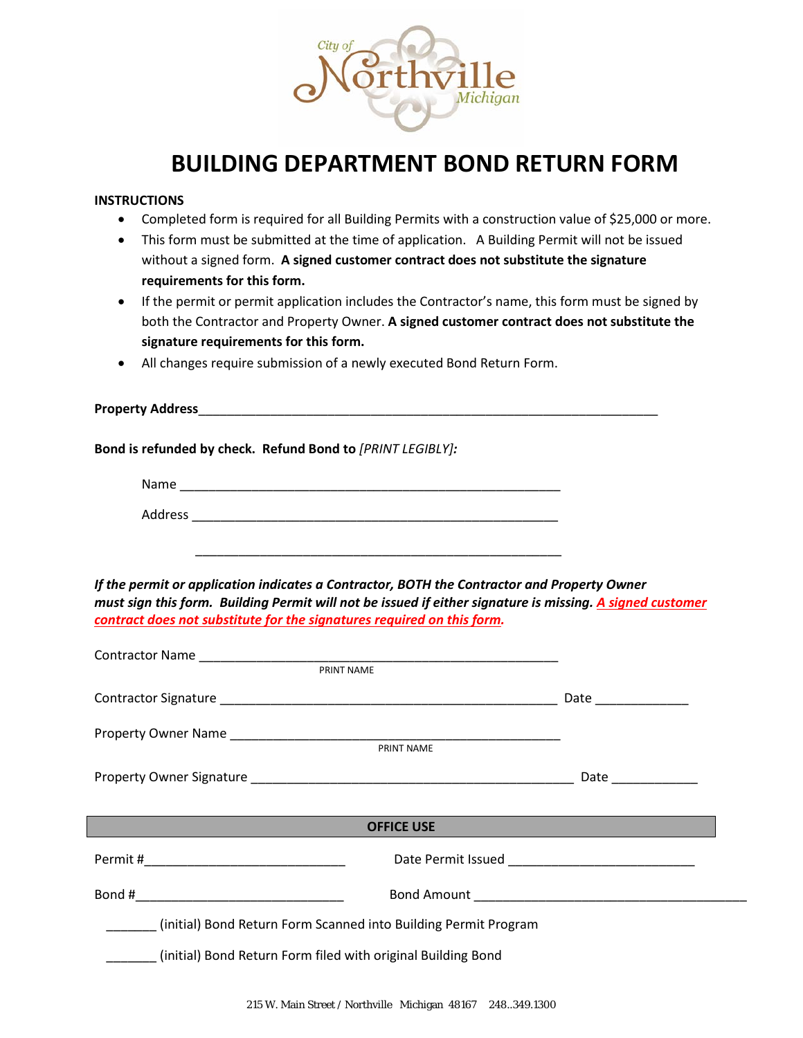

### **BUILDING DEPARTMENT BOND RETURN FORM**

#### **INSTRUCTIONS**

- Completed form is required for all Building Permits with a construction value of \$25,000 or more.
- This form must be submitted at the time of application. A Building Permit will not be issued without a signed form. **A signed customer contract does not substitute the signature requirements for this form.**
- If the permit or permit application includes the Contractor's name, this form must be signed by both the Contractor and Property Owner. **A signed customer contract does not substitute the signature requirements for this form.**
- All changes require submission of a newly executed Bond Return Form.

| <b>Property Address_</b> |  |  |  |
|--------------------------|--|--|--|
|                          |  |  |  |

**Bond is refunded by check. Refund Bond to** *[PRINT LEGIBLY]:*

| Name    |  |  |  |
|---------|--|--|--|
| Address |  |  |  |

\_\_\_\_\_\_\_\_\_\_\_\_\_\_\_\_\_\_\_\_\_\_\_\_\_\_\_\_\_\_\_\_\_\_\_\_\_\_\_\_\_\_\_\_\_\_\_\_\_\_\_

*If the permit or application indicates a Contractor, BOTH the Contractor and Property Owner must sign this form. Building Permit will not be issued if either signature is missing. A signed customer contract does not substitute for the signatures required on this form.*

| <b>PRINT NAME</b>                                               |                      |
|-----------------------------------------------------------------|----------------------|
|                                                                 | Date _______________ |
|                                                                 |                      |
|                                                                 | Date ____________    |
|                                                                 | <b>OFFICE USE</b>    |
|                                                                 |                      |
|                                                                 |                      |
| (initial) Bond Return Form Scanned into Building Permit Program |                      |
| (initial) Bond Return Form filed with original Building Bond    |                      |
|                                                                 |                      |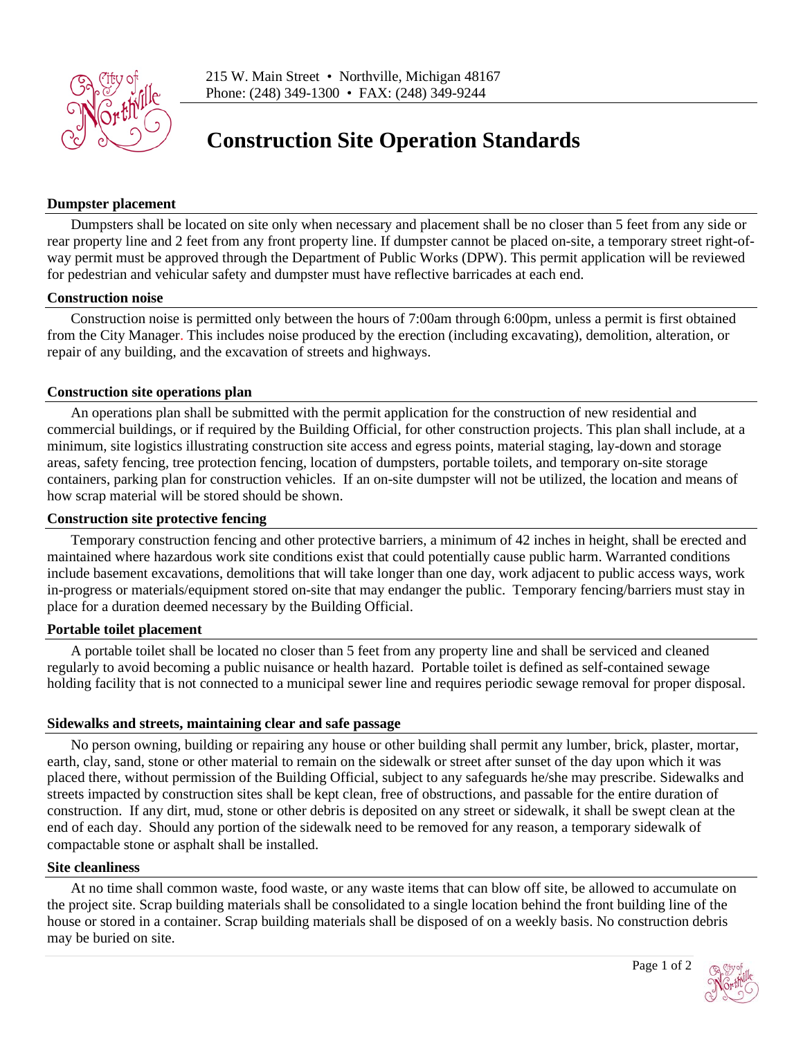

## **Construction Site Operation Standards**

#### **Dumpster placement**

Dumpsters shall be located on site only when necessary and placement shall be no closer than 5 feet from any side or rear property line and 2 feet from any front property line. If dumpster cannot be placed on-site, a temporary street right-ofway permit must be approved through the Department of Public Works (DPW). This permit application will be reviewed for pedestrian and vehicular safety and dumpster must have reflective barricades at each end.

#### **Construction noise**

Construction noise is permitted only between the hours of 7:00am through 6:00pm, unless a permit is first obtained from the City Manager. This includes noise produced by the erection (including excavating), demolition, alteration, or repair of any building, and the excavation of streets and highways.

#### **Construction site operations plan**

An operations plan shall be submitted with the permit application for the construction of new residential and commercial buildings, or if required by the Building Official, for other construction projects. This plan shall include, at a minimum, site logistics illustrating construction site access and egress points, material staging, lay-down and storage areas, safety fencing, tree protection fencing, location of dumpsters, portable toilets, and temporary on-site storage containers, parking plan for construction vehicles. If an on-site dumpster will not be utilized, the location and means of how scrap material will be stored should be shown.

#### **Construction site protective fencing**

Temporary construction fencing and other protective barriers, a minimum of 42 inches in height, shall be erected and maintained where hazardous work site conditions exist that could potentially cause public harm. Warranted conditions include basement excavations, demolitions that will take longer than one day, work adjacent to public access ways, work in-progress or materials/equipment stored on-site that may endanger the public. Temporary fencing/barriers must stay in place for a duration deemed necessary by the Building Official.

#### **Portable toilet placement**

A portable toilet shall be located no closer than 5 feet from any property line and shall be serviced and cleaned regularly to avoid becoming a public nuisance or health hazard. Portable toilet is defined as self-contained sewage holding facility that is not connected to a municipal sewer line and requires periodic sewage removal for proper disposal.

#### **Sidewalks and streets, maintaining clear and safe passage**

No person owning, building or repairing any house or other building shall permit any lumber, brick, plaster, mortar, earth, clay, sand, stone or other material to remain on the sidewalk or street after sunset of the day upon which it was placed there, without permission of the Building Official, subject to any safeguards he/she may prescribe. Sidewalks and streets impacted by construction sites shall be kept clean, free of obstructions, and passable for the entire duration of construction. If any dirt, mud, stone or other debris is deposited on any street or sidewalk, it shall be swept clean at the end of each day. Should any portion of the sidewalk need to be removed for any reason, a temporary sidewalk of compactable stone or asphalt shall be installed.

#### **Site cleanliness**

At no time shall common waste, food waste, or any waste items that can blow off site, be allowed to accumulate on the project site. Scrap building materials shall be consolidated to a single location behind the front building line of the house or stored in a container. Scrap building materials shall be disposed of on a weekly basis. No construction debris may be buried on site.